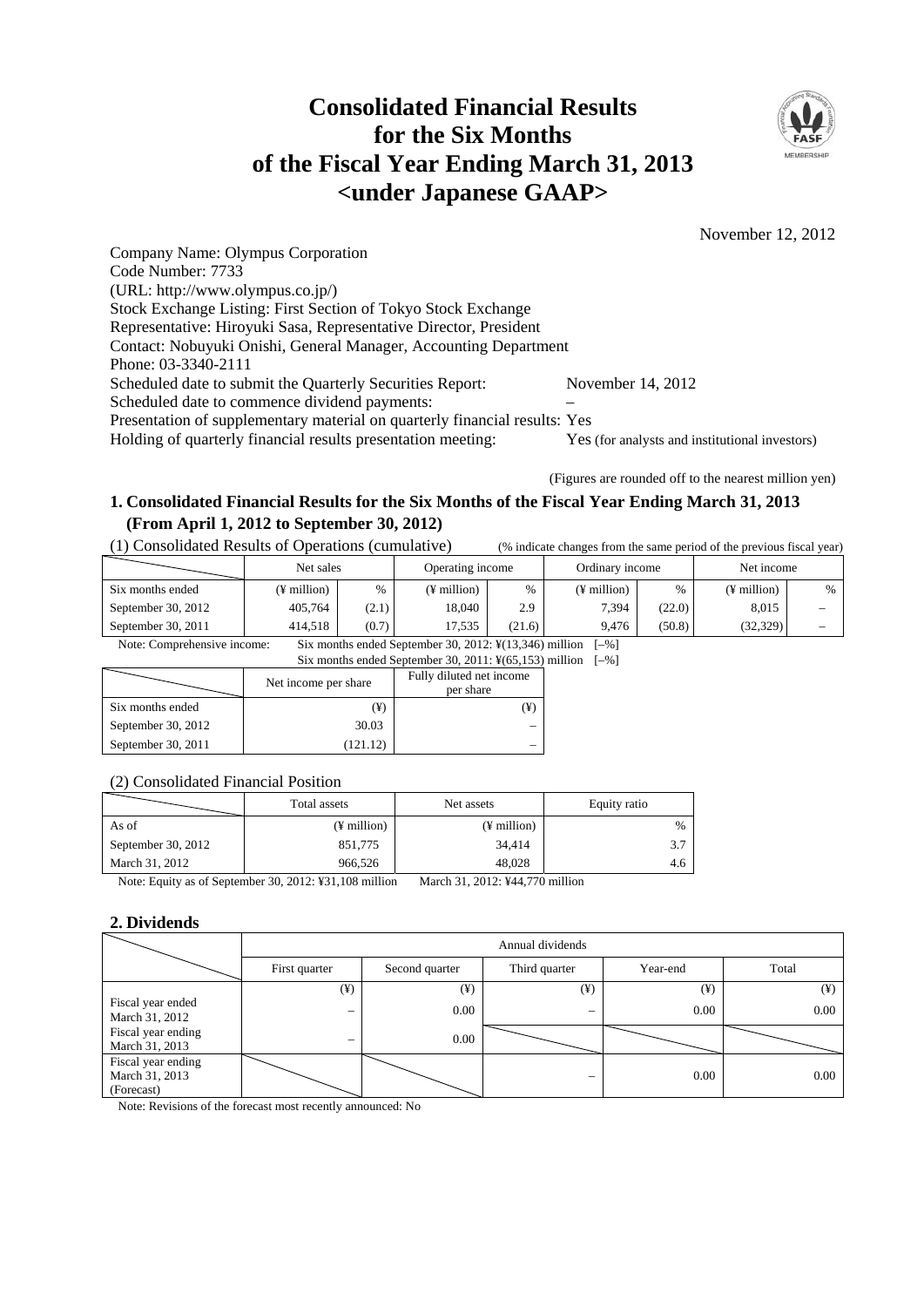# **Consolidated Financial Results for the Six Months of the Fiscal Year Ending March 31, 2013 <under Japanese GAAP>**



November 12, 2012

Company Name: Olympus Corporation Code Number: 7733 (URL: http://www.olympus.co.jp/) Stock Exchange Listing: First Section of Tokyo Stock Exchange Representative: Hiroyuki Sasa, Representative Director, President Contact: Nobuyuki Onishi, General Manager, Accounting Department Phone: 03-3340-2111 Scheduled date to submit the Quarterly Securities Report: November 14, 2012 Scheduled date to commence dividend payments: Presentation of supplementary material on quarterly financial results: Yes Holding of quarterly financial results presentation meeting: Yes (for analysts and institutional investors)

(Figures are rounded off to the nearest million yen)

# **1. Consolidated Financial Results for the Six Months of the Fiscal Year Ending March 31, 2013 (From April 1, 2012 to September 30, 2012)**

(1) Consolidated Results of Operations (cumulative) (% indicate changes from the same period of the previous fiscal year)

|                    | Net sales   |       | Operating income |        | Ordinary income         |        | Net income  |      |
|--------------------|-------------|-------|------------------|--------|-------------------------|--------|-------------|------|
| Six months ended   | (¥ million) | $\%$  | (¥ million)      | $\%$   | $(\frac{1}{2})$ million | $\%$   | (¥ million) | $\%$ |
| September 30, 2012 | 405.764     | (2.1) | 18.040           | 2.9    | 7.394                   | (22.0) | 8.015       | -    |
| September 30, 2011 | 414.518     | (0.7) | 17.535           | (21.6) | 9.476                   | (50.8) | (32, 329)   | -    |

Note: Comprehensive income: Six months ended September 30, 2012: ¥(13,346) million [–%]

Six months ended September 30, 2011:  $\frac{1}{2}(65,153)$  million [–%]

|                    | Net income per share | Fully diluted net income<br>per share |
|--------------------|----------------------|---------------------------------------|
| Six months ended   | (¥)                  |                                       |
| September 30, 2012 | 30.03                |                                       |
| September 30, 2011 | (121.12)             |                                       |

#### (2) Consolidated Financial Position

|                                    | Total assets            | Net assets    | Equity ratio  |
|------------------------------------|-------------------------|---------------|---------------|
| As of                              | $(\frac{1}{2})$ million | $(F$ million) | $\frac{0}{0}$ |
| September 30, 2012                 | 851,775                 | 34,414        | 3.7           |
| March 31, 2012                     | 966.526                 | 48.028        | 4.6           |
| $\alpha$ $\alpha$ $\beta$ $\gamma$ |                         | $ -$          |               |

Note: Equity as of September 30, 2012: ¥31,108 million March 31, 2012: ¥44,770 million

## **2. Dividends**

|                                                    | Annual dividends         |                |               |          |          |  |
|----------------------------------------------------|--------------------------|----------------|---------------|----------|----------|--|
|                                                    | First quarter            | Second quarter | Third quarter | Year-end | Total    |  |
|                                                    | $(\yen)$                 | $(\yen)$       | $(\yen)$      | $(\yen)$ | $(\yen)$ |  |
| Fiscal year ended<br>March 31, 2012                |                          | 0.00           | —             | 0.00     | 0.00     |  |
| Fiscal year ending<br>March 31, 2013               | $\overline{\phantom{m}}$ | 0.00           |               |          |          |  |
| Fiscal year ending<br>March 31, 2013<br>(Forecast) |                          |                | -             | 0.00     | 0.00     |  |

Note: Revisions of the forecast most recently announced: No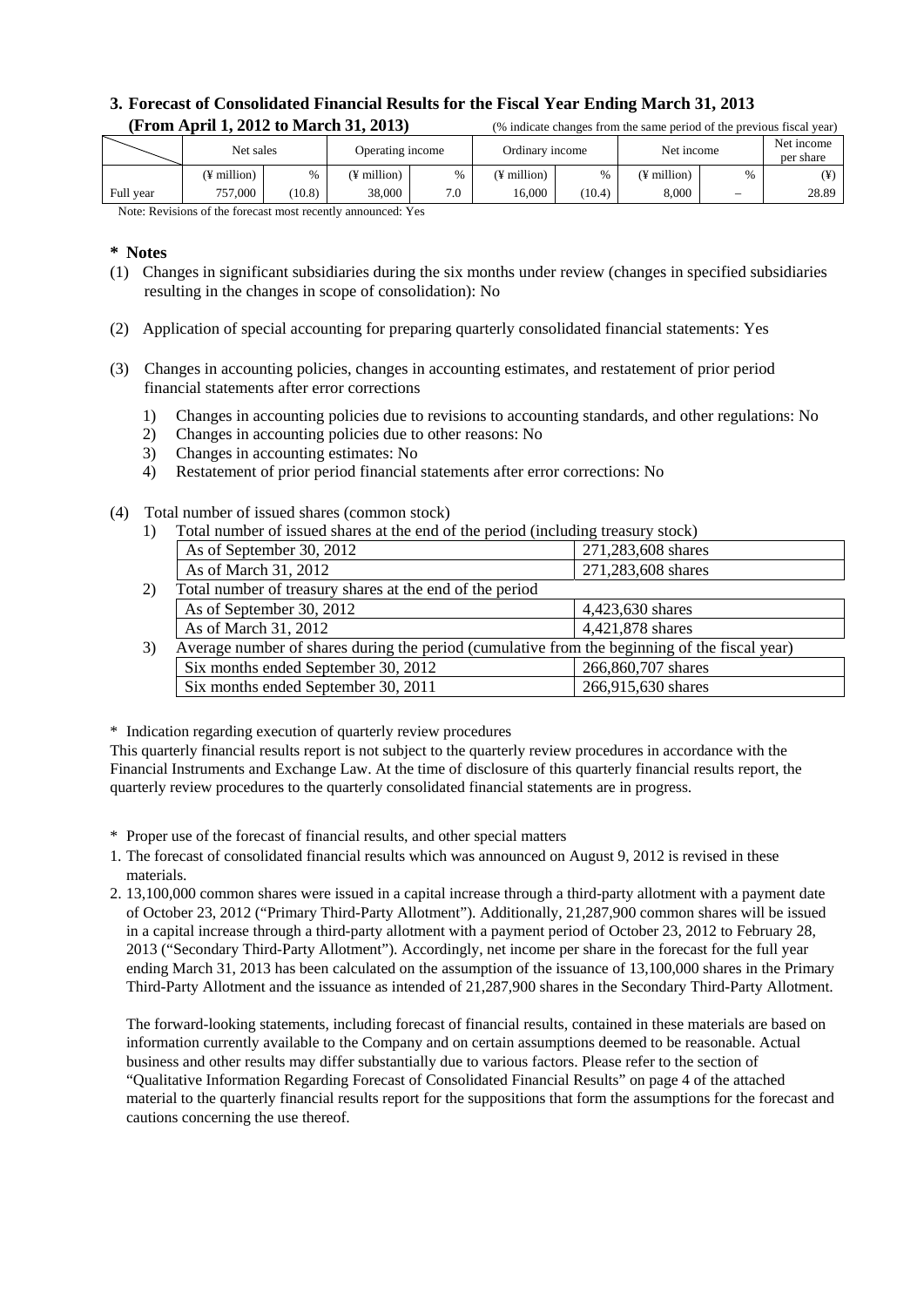# **3. Forecast of Consolidated Financial Results for the Fiscal Year Ending March 31, 2013 (From April 1, 2012 to March 31, 2013)** (% indicate changes from the same period of the previous fiscal year)

|                             | Net sales    |        | Operating income |     | Ordinary income |        | Net income  |                                 | Net income<br>per share |
|-----------------------------|--------------|--------|------------------|-----|-----------------|--------|-------------|---------------------------------|-------------------------|
|                             | (¥ million)  | %      | (¥ million)      | %   | (¥ million)     | $\%$   | (¥ million) | $\%$                            | (¥)                     |
| Full year                   | 757,000      | (10.8) | 38,000           | 7.0 | 16.000          | (10.4) | 8.000       | $\hspace{0.1mm}-\hspace{0.1mm}$ | 28.89                   |
| $\mathbf{r}$ . $\mathbf{r}$ | $c_{\alpha}$ |        | $1 - T$          |     |                 |        |             |                                 |                         |

Note: Revisions of the forecast most recently announced: Yes

#### **\* Notes**

- (1) Changes in significant subsidiaries during the six months under review (changes in specified subsidiaries resulting in the changes in scope of consolidation): No
- (2) Application of special accounting for preparing quarterly consolidated financial statements: Yes
- (3) Changes in accounting policies, changes in accounting estimates, and restatement of prior period financial statements after error corrections
	- 1) Changes in accounting policies due to revisions to accounting standards, and other regulations: No
	- 2) Changes in accounting policies due to other reasons: No
	- 3) Changes in accounting estimates: No
	- 4) Restatement of prior period financial statements after error corrections: No
- (4) Total number of issued shares (common stock)
	- 1) Total number of issued shares at the end of the period (including treasury stock)

| $\mathbf{r}$ inviting at the weak computed we the size of the period (interacting treatment) overthe |                    |
|------------------------------------------------------------------------------------------------------|--------------------|
| As of September 30, 2012                                                                             | 271,283,608 shares |
| As of March 31, 2012                                                                                 | 271,283,608 shares |
| Total number of treasury shares at the end of the period                                             |                    |
| As of September 30, 2012                                                                             | 4,423,630 shares   |
| As of March 31, 2012                                                                                 | 4,421,878 shares   |
| Average number of shares during the period (cumulative from the beginning of the fiscal year)        |                    |
| Six months ended September 30, 2012                                                                  | 266,860,707 shares |
| Six months ended September 30, 2011                                                                  | 266,915,630 shares |
|                                                                                                      |                    |

\* Indication regarding execution of quarterly review procedures

This quarterly financial results report is not subject to the quarterly review procedures in accordance with the Financial Instruments and Exchange Law. At the time of disclosure of this quarterly financial results report, the quarterly review procedures to the quarterly consolidated financial statements are in progress.

\* Proper use of the forecast of financial results, and other special matters

- 1. The forecast of consolidated financial results which was announced on August 9, 2012 is revised in these materials.
- 2. 13,100,000 common shares were issued in a capital increase through a third-party allotment with a payment date of October 23, 2012 ("Primary Third-Party Allotment"). Additionally, 21,287,900 common shares will be issued in a capital increase through a third-party allotment with a payment period of October 23, 2012 to February 28, 2013 ("Secondary Third-Party Allotment"). Accordingly, net income per share in the forecast for the full year ending March 31, 2013 has been calculated on the assumption of the issuance of 13,100,000 shares in the Primary Third-Party Allotment and the issuance as intended of 21,287,900 shares in the Secondary Third-Party Allotment.

 The forward-looking statements, including forecast of financial results, contained in these materials are based on information currently available to the Company and on certain assumptions deemed to be reasonable. Actual business and other results may differ substantially due to various factors. Please refer to the section of "Qualitative Information Regarding Forecast of Consolidated Financial Results" on page 4 of the attached material to the quarterly financial results report for the suppositions that form the assumptions for the forecast and cautions concerning the use thereof.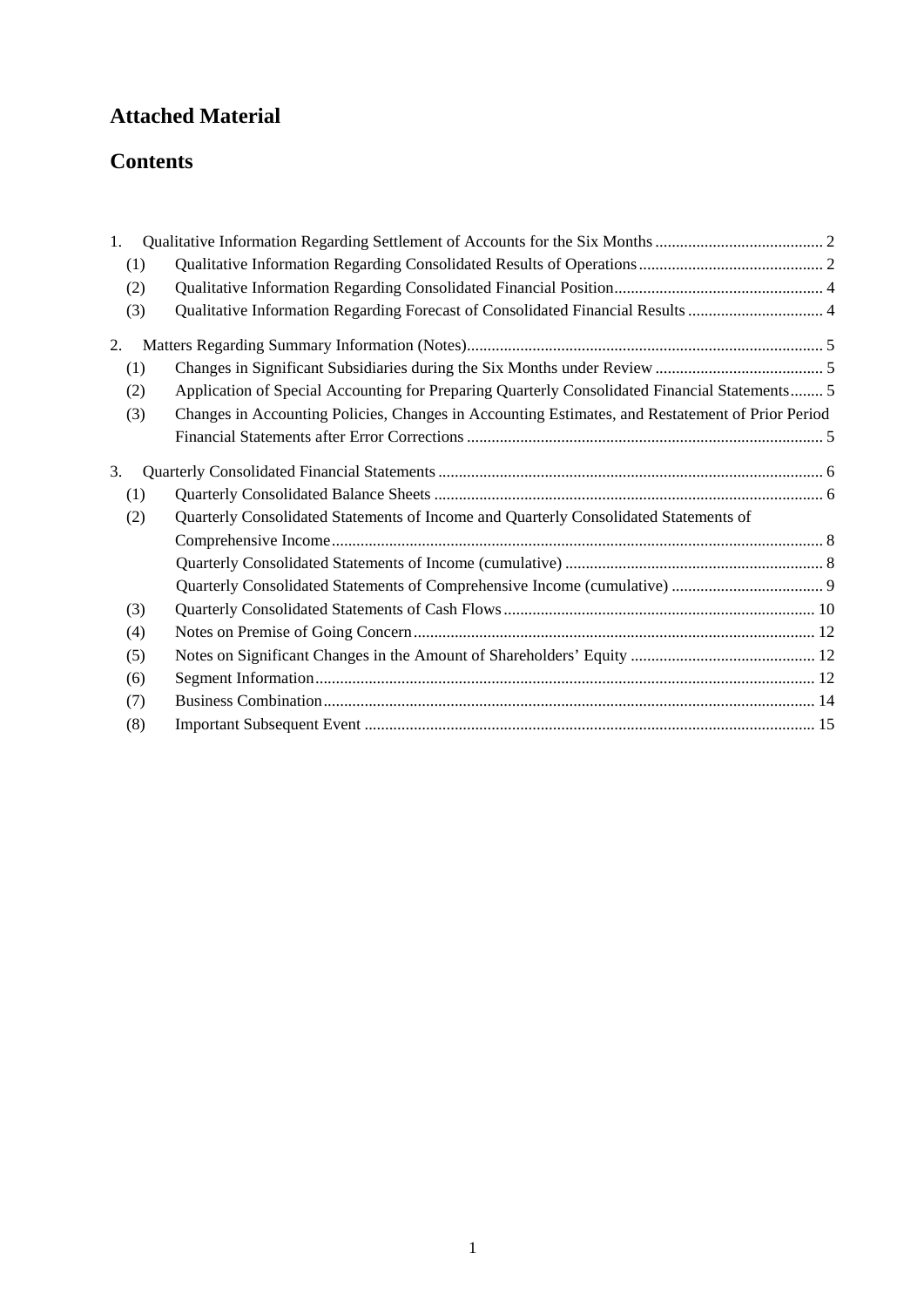# **Attached Material**

# **Contents**

| 1.  |                                                                                                  |  |
|-----|--------------------------------------------------------------------------------------------------|--|
| (1) |                                                                                                  |  |
| (2) |                                                                                                  |  |
| (3) | Qualitative Information Regarding Forecast of Consolidated Financial Results  4                  |  |
| 2.  |                                                                                                  |  |
| (1) |                                                                                                  |  |
| (2) | Application of Special Accounting for Preparing Quarterly Consolidated Financial Statements 5    |  |
| (3) | Changes in Accounting Policies, Changes in Accounting Estimates, and Restatement of Prior Period |  |
|     |                                                                                                  |  |
| 3.  |                                                                                                  |  |
| (1) |                                                                                                  |  |
| (2) | Quarterly Consolidated Statements of Income and Quarterly Consolidated Statements of             |  |
|     |                                                                                                  |  |
|     |                                                                                                  |  |
|     |                                                                                                  |  |
| (3) |                                                                                                  |  |
| (4) |                                                                                                  |  |
| (5) |                                                                                                  |  |
| (6) |                                                                                                  |  |
| (7) |                                                                                                  |  |
| (8) |                                                                                                  |  |
|     |                                                                                                  |  |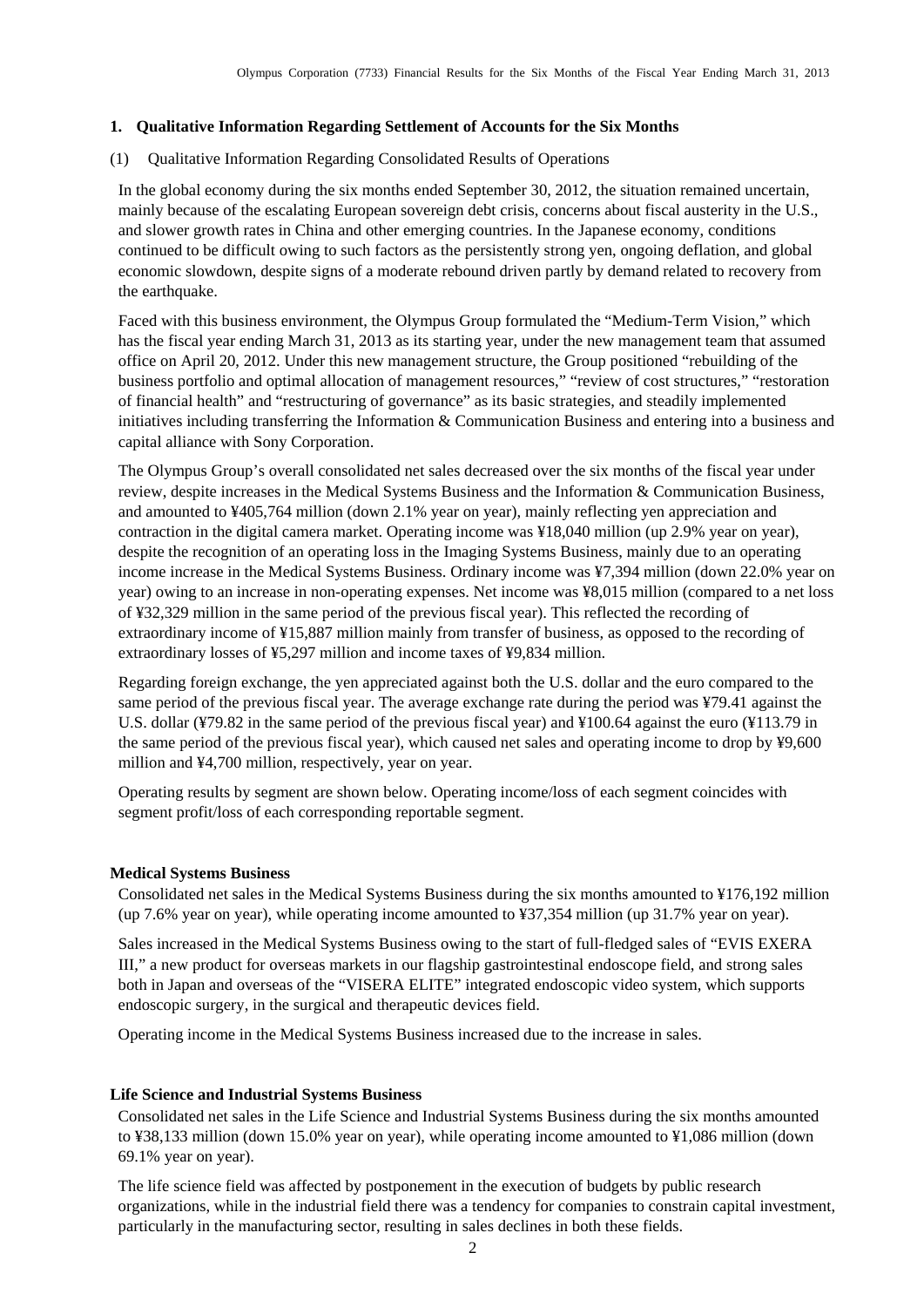#### <span id="page-3-0"></span>**1. Qualitative Information Regarding Settlement of Accounts for the Six Months**

<span id="page-3-1"></span>(1) Qualitative Information Regarding Consolidated Results of Operations

In the global economy during the six months ended September 30, 2012, the situation remained uncertain, mainly because of the escalating European sovereign debt crisis, concerns about fiscal austerity in the U.S., and slower growth rates in China and other emerging countries. In the Japanese economy, conditions continued to be difficult owing to such factors as the persistently strong yen, ongoing deflation, and global economic slowdown, despite signs of a moderate rebound driven partly by demand related to recovery from the earthquake.

Faced with this business environment, the Olympus Group formulated the "Medium-Term Vision," which has the fiscal year ending March 31, 2013 as its starting year, under the new management team that assumed office on April 20, 2012. Under this new management structure, the Group positioned "rebuilding of the business portfolio and optimal allocation of management resources," "review of cost structures," "restoration of financial health" and "restructuring of governance" as its basic strategies, and steadily implemented initiatives including transferring the Information & Communication Business and entering into a business and capital alliance with Sony Corporation.

The Olympus Group's overall consolidated net sales decreased over the six months of the fiscal year under review, despite increases in the Medical Systems Business and the Information & Communication Business, and amounted to ¥405,764 million (down 2.1% year on year), mainly reflecting yen appreciation and contraction in the digital camera market. Operating income was ¥18,040 million (up 2.9% year on year), despite the recognition of an operating loss in the Imaging Systems Business, mainly due to an operating income increase in the Medical Systems Business. Ordinary income was ¥7,394 million (down 22.0% year on year) owing to an increase in non-operating expenses. Net income was ¥8,015 million (compared to a net loss of ¥32,329 million in the same period of the previous fiscal year). This reflected the recording of extraordinary income of ¥15,887 million mainly from transfer of business, as opposed to the recording of extraordinary losses of ¥5,297 million and income taxes of ¥9,834 million.

Regarding foreign exchange, the yen appreciated against both the U.S. dollar and the euro compared to the same period of the previous fiscal year. The average exchange rate during the period was ¥79.41 against the U.S. dollar (¥79.82 in the same period of the previous fiscal year) and ¥100.64 against the euro (¥113.79 in the same period of the previous fiscal year), which caused net sales and operating income to drop by ¥9,600 million and ¥4,700 million, respectively, year on year.

Operating results by segment are shown below. Operating income/loss of each segment coincides with segment profit/loss of each corresponding reportable segment.

#### **Medical Systems Business**

Consolidated net sales in the Medical Systems Business during the six months amounted to ¥176,192 million (up 7.6% year on year), while operating income amounted to ¥37,354 million (up 31.7% year on year).

Sales increased in the Medical Systems Business owing to the start of full-fledged sales of "EVIS EXERA III," a new product for overseas markets in our flagship gastrointestinal endoscope field, and strong sales both in Japan and overseas of the "VISERA ELITE" integrated endoscopic video system, which supports endoscopic surgery, in the surgical and therapeutic devices field.

Operating income in the Medical Systems Business increased due to the increase in sales.

#### **Life Science and Industrial Systems Business**

Consolidated net sales in the Life Science and Industrial Systems Business during the six months amounted to ¥38,133 million (down 15.0% year on year), while operating income amounted to ¥1,086 million (down 69.1% year on year).

The life science field was affected by postponement in the execution of budgets by public research organizations, while in the industrial field there was a tendency for companies to constrain capital investment, particularly in the manufacturing sector, resulting in sales declines in both these fields.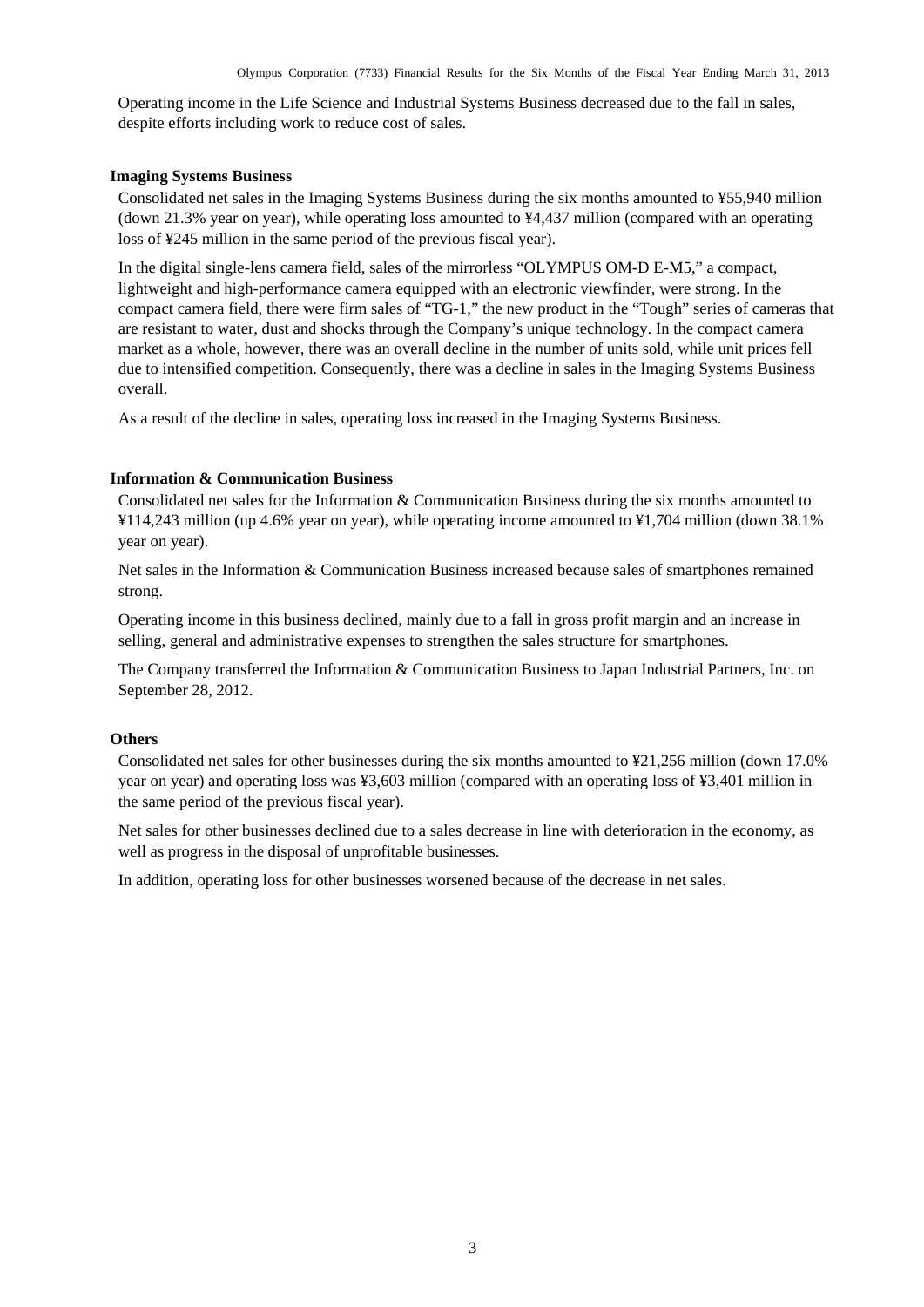Operating income in the Life Science and Industrial Systems Business decreased due to the fall in sales, despite efforts including work to reduce cost of sales.

#### **Imaging Systems Business**

Consolidated net sales in the Imaging Systems Business during the six months amounted to ¥55,940 million (down 21.3% year on year), while operating loss amounted to ¥4,437 million (compared with an operating loss of ¥245 million in the same period of the previous fiscal year).

In the digital single-lens camera field, sales of the mirrorless "OLYMPUS OM-D E-M5," a compact, lightweight and high-performance camera equipped with an electronic viewfinder, were strong. In the compact camera field, there were firm sales of "TG-1," the new product in the "Tough" series of cameras that are resistant to water, dust and shocks through the Company's unique technology. In the compact camera market as a whole, however, there was an overall decline in the number of units sold, while unit prices fell due to intensified competition. Consequently, there was a decline in sales in the Imaging Systems Business overall.

As a result of the decline in sales, operating loss increased in the Imaging Systems Business.

### **Information & Communication Business**

Consolidated net sales for the Information & Communication Business during the six months amounted to ¥114,243 million (up 4.6% year on year), while operating income amounted to ¥1,704 million (down 38.1% year on year).

Net sales in the Information & Communication Business increased because sales of smartphones remained strong.

Operating income in this business declined, mainly due to a fall in gross profit margin and an increase in selling, general and administrative expenses to strengthen the sales structure for smartphones.

The Company transferred the Information & Communication Business to Japan Industrial Partners, Inc. on September 28, 2012.

#### **Others**

Consolidated net sales for other businesses during the six months amounted to ¥21,256 million (down 17.0% year on year) and operating loss was ¥3,603 million (compared with an operating loss of ¥3,401 million in the same period of the previous fiscal year).

Net sales for other businesses declined due to a sales decrease in line with deterioration in the economy, as well as progress in the disposal of unprofitable businesses.

In addition, operating loss for other businesses worsened because of the decrease in net sales.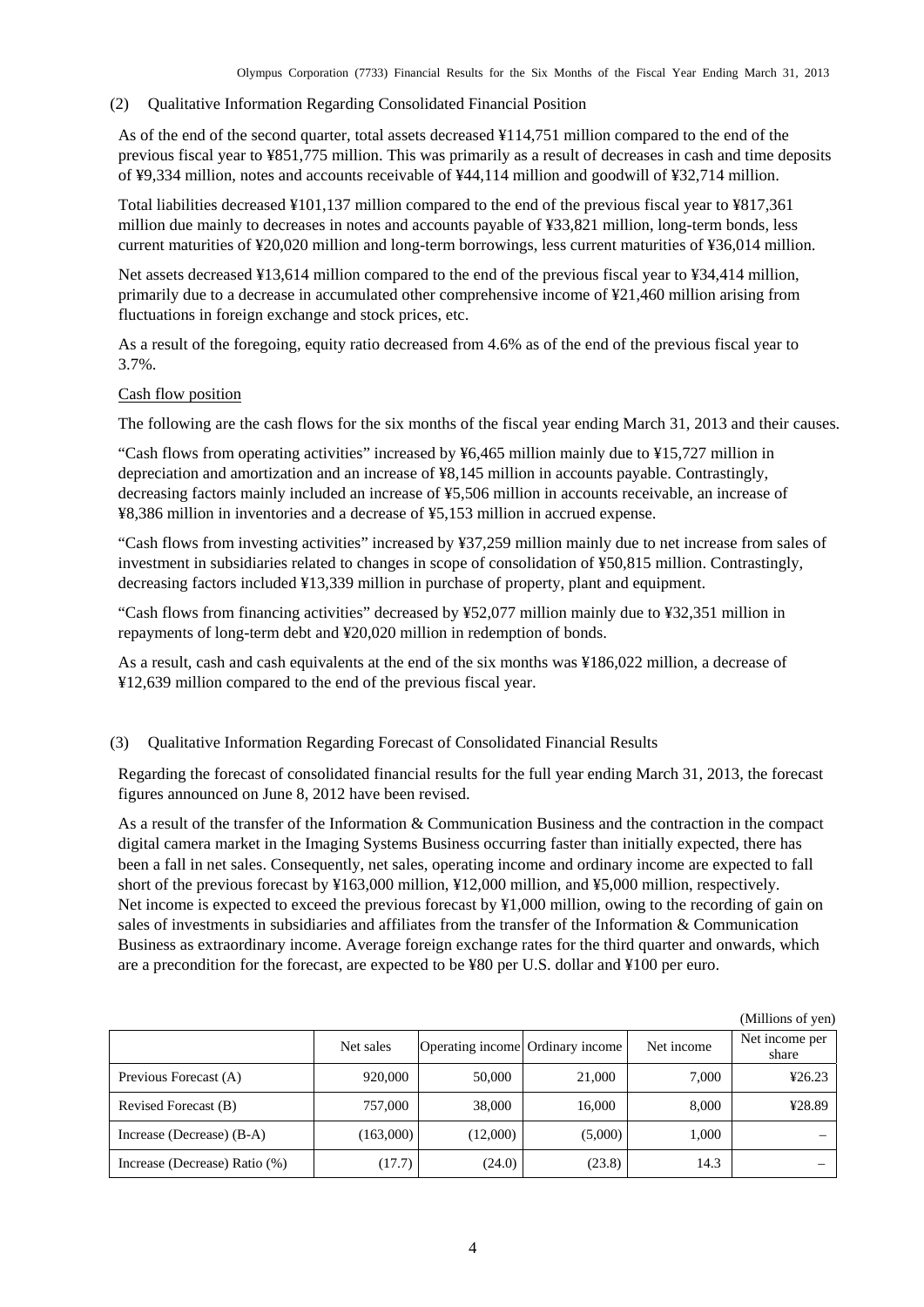#### <span id="page-5-0"></span>(2) Qualitative Information Regarding Consolidated Financial Position

As of the end of the second quarter, total assets decreased ¥114,751 million compared to the end of the previous fiscal year to ¥851,775 million. This was primarily as a result of decreases in cash and time deposits of ¥9,334 million, notes and accounts receivable of ¥44,114 million and goodwill of ¥32,714 million.

Total liabilities decreased ¥101,137 million compared to the end of the previous fiscal year to ¥817,361 million due mainly to decreases in notes and accounts payable of ¥33,821 million, long-term bonds, less current maturities of ¥20,020 million and long-term borrowings, less current maturities of ¥36,014 million.

Net assets decreased ¥13,614 million compared to the end of the previous fiscal year to ¥34,414 million, primarily due to a decrease in accumulated other comprehensive income of ¥21,460 million arising from fluctuations in foreign exchange and stock prices, etc.

As a result of the foregoing, equity ratio decreased from 4.6% as of the end of the previous fiscal year to 3.7%.

#### Cash flow position

The following are the cash flows for the six months of the fiscal year ending March 31, 2013 and their causes.

"Cash flows from operating activities" increased by ¥6,465 million mainly due to ¥15,727 million in depreciation and amortization and an increase of ¥8,145 million in accounts payable. Contrastingly, decreasing factors mainly included an increase of ¥5,506 million in accounts receivable, an increase of ¥8,386 million in inventories and a decrease of ¥5,153 million in accrued expense.

"Cash flows from investing activities" increased by ¥37,259 million mainly due to net increase from sales of investment in subsidiaries related to changes in scope of consolidation of ¥50,815 million. Contrastingly, decreasing factors included ¥13,339 million in purchase of property, plant and equipment.

"Cash flows from financing activities" decreased by ¥52,077 million mainly due to ¥32,351 million in repayments of long-term debt and ¥20,020 million in redemption of bonds.

As a result, cash and cash equivalents at the end of the six months was ¥186,022 million, a decrease of ¥12,639 million compared to the end of the previous fiscal year.

## <span id="page-5-1"></span>(3) Qualitative Information Regarding Forecast of Consolidated Financial Results

Regarding the forecast of consolidated financial results for the full year ending March 31, 2013, the forecast figures announced on June 8, 2012 have been revised.

As a result of the transfer of the Information & Communication Business and the contraction in the compact digital camera market in the Imaging Systems Business occurring faster than initially expected, there has been a fall in net sales. Consequently, net sales, operating income and ordinary income are expected to fall short of the previous forecast by ¥163,000 million, ¥12,000 million, and ¥5,000 million, respectively. Net income is expected to exceed the previous forecast by ¥1,000 million, owing to the recording of gain on sales of investments in subsidiaries and affiliates from the transfer of the Information & Communication Business as extraordinary income. Average foreign exchange rates for the third quarter and onwards, which are a precondition for the forecast, are expected to be ¥80 per U.S. dollar and ¥100 per euro.

|                               | Net sales | Operating income Ordinary income |         | Net income | Net income per<br>share |
|-------------------------------|-----------|----------------------------------|---------|------------|-------------------------|
| Previous Forecast (A)         | 920,000   | 50,000                           | 21,000  | 7.000      | 426.23                  |
| Revised Forecast (B)          | 757,000   | 38,000                           | 16,000  | 8,000      | ¥28.89                  |
| Increase (Decrease) (B-A)     | (163,000) | (12,000)                         | (5,000) | 1.000      |                         |
| Increase (Decrease) Ratio (%) | (17.7)    | (24.0)                           | (23.8)  | 14.3       |                         |

(Millions of yen)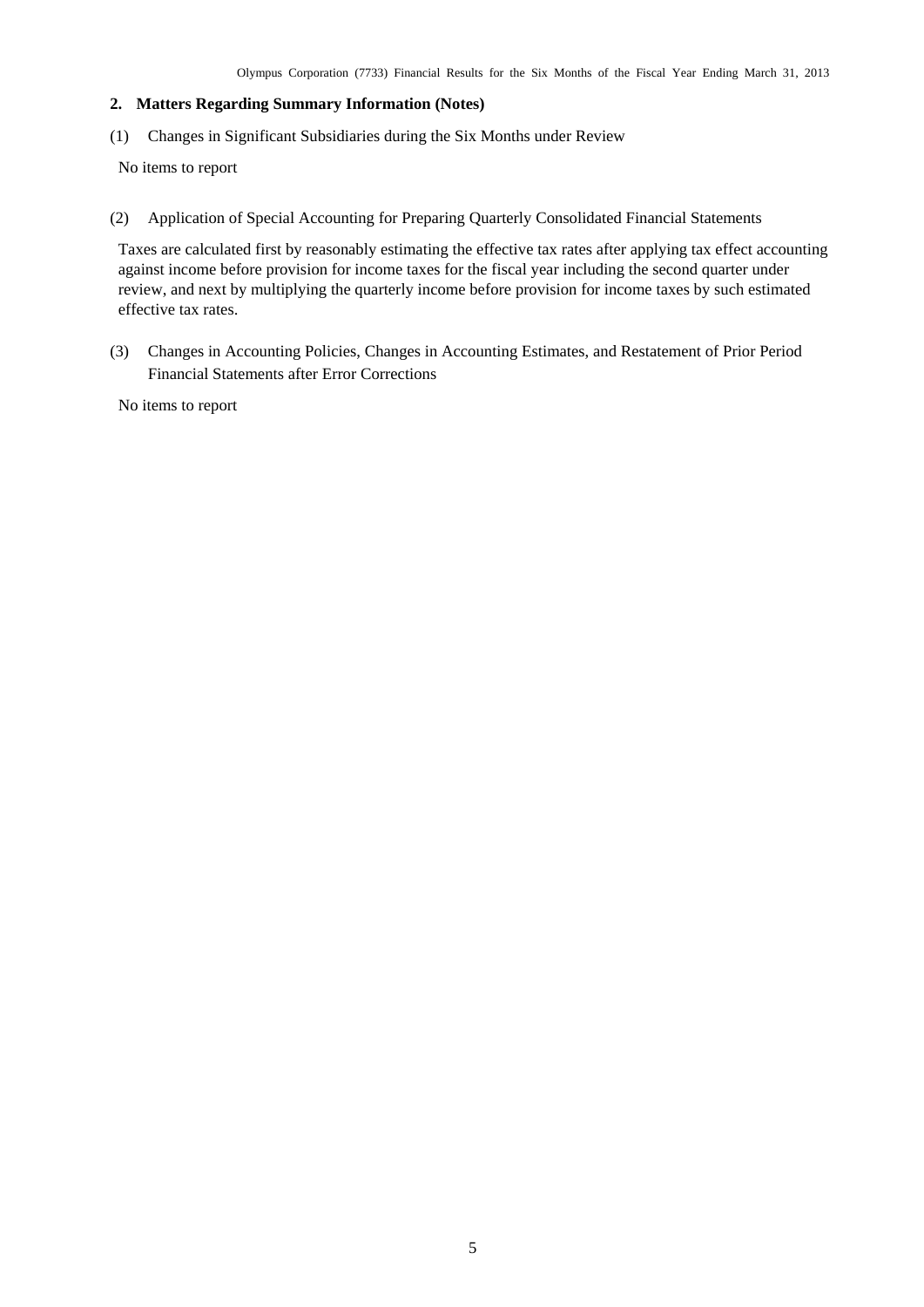## <span id="page-6-0"></span>**2. Matters Regarding Summary Information (Notes)**

<span id="page-6-1"></span>(1) Changes in Significant Subsidiaries during the Six Months under Review

No items to report

<span id="page-6-2"></span>(2) Application of Special Accounting for Preparing Quarterly Consolidated Financial Statements

Taxes are calculated first by reasonably estimating the effective tax rates after applying tax effect accounting against income before provision for income taxes for the fiscal year including the second quarter under review, and next by multiplying the quarterly income before provision for income taxes by such estimated effective tax rates.

<span id="page-6-3"></span>(3) Changes in Accounting Policies, Changes in Accounting Estimates, and Restatement of Prior Period Financial Statements after Error Corrections

No items to report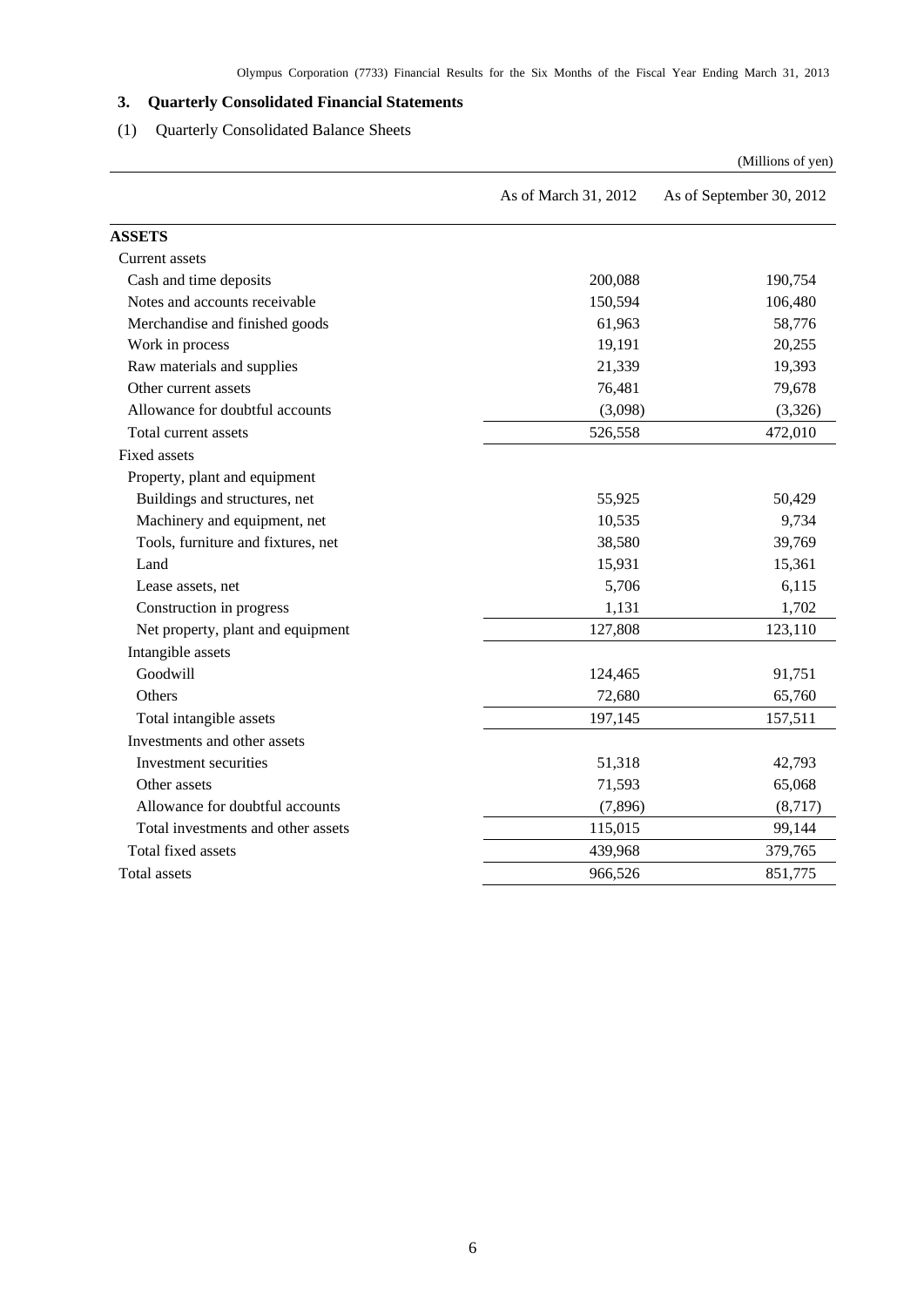# <span id="page-7-0"></span>**3. Quarterly Consolidated Financial Statements**

# (1) Quarterly Consolidated Balance Sheets

<span id="page-7-1"></span>

|                                    |                      | (Millions of yen)        |
|------------------------------------|----------------------|--------------------------|
|                                    | As of March 31, 2012 | As of September 30, 2012 |
| <b>ASSETS</b>                      |                      |                          |
| Current assets                     |                      |                          |
| Cash and time deposits             | 200,088              | 190,754                  |
| Notes and accounts receivable      | 150,594              | 106,480                  |
| Merchandise and finished goods     | 61,963               | 58,776                   |
| Work in process                    | 19,191               | 20,255                   |
| Raw materials and supplies         | 21,339               | 19,393                   |
| Other current assets               | 76,481               | 79,678                   |
| Allowance for doubtful accounts    | (3,098)              | (3,326)                  |
| Total current assets               | 526,558              | 472,010                  |
| <b>Fixed assets</b>                |                      |                          |
| Property, plant and equipment      |                      |                          |
| Buildings and structures, net      | 55,925               | 50,429                   |
| Machinery and equipment, net       | 10,535               | 9,734                    |
| Tools, furniture and fixtures, net | 38,580               | 39,769                   |
| Land                               | 15,931               | 15,361                   |
| Lease assets, net                  | 5,706                | 6,115                    |
| Construction in progress           | 1,131                | 1,702                    |
| Net property, plant and equipment  | 127,808              | 123,110                  |
| Intangible assets                  |                      |                          |
| Goodwill                           | 124,465              | 91,751                   |
| Others                             | 72,680               | 65,760                   |
| Total intangible assets            | 197,145              | 157,511                  |
| Investments and other assets       |                      |                          |
| Investment securities              | 51,318               | 42,793                   |
| Other assets                       | 71,593               | 65,068                   |
| Allowance for doubtful accounts    | (7, 896)             | (8,717)                  |
| Total investments and other assets | 115,015              | 99,144                   |
| Total fixed assets                 | 439,968              | 379,765                  |
| Total assets                       | 966,526              | 851,775                  |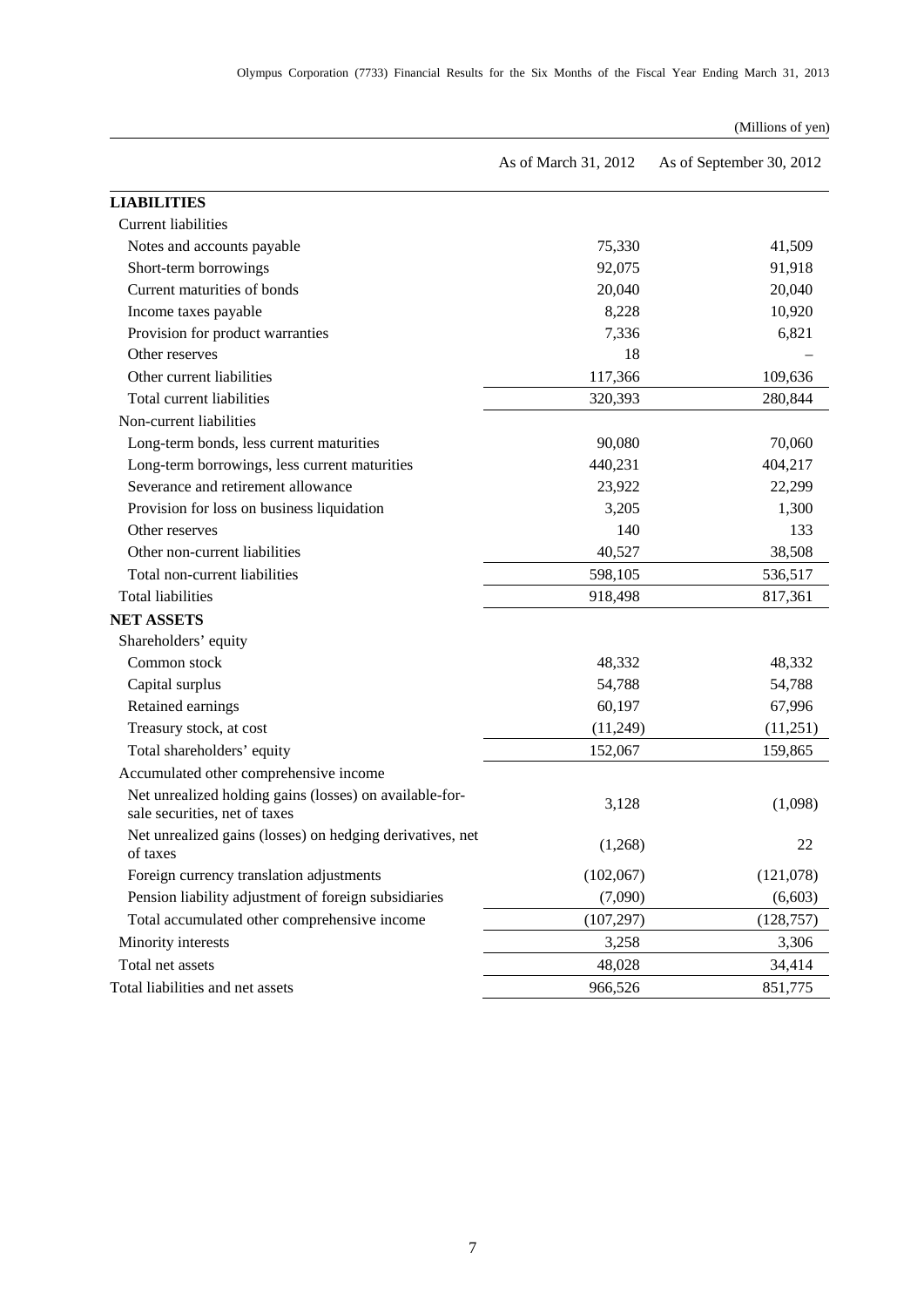### (Millions of yen)

|                                                                                          | As of March 31, 2012 | As of September 30, 2012 |
|------------------------------------------------------------------------------------------|----------------------|--------------------------|
| <b>LIABILITIES</b>                                                                       |                      |                          |
| <b>Current liabilities</b>                                                               |                      |                          |
| Notes and accounts payable                                                               | 75,330               | 41,509                   |
| Short-term borrowings                                                                    | 92,075               | 91,918                   |
| Current maturities of bonds                                                              | 20,040               | 20,040                   |
| Income taxes payable                                                                     | 8,228                | 10,920                   |
| Provision for product warranties                                                         | 7,336                | 6,821                    |
| Other reserves                                                                           | 18                   |                          |
| Other current liabilities                                                                | 117,366              | 109,636                  |
| Total current liabilities                                                                | 320,393              | 280,844                  |
| Non-current liabilities                                                                  |                      |                          |
| Long-term bonds, less current maturities                                                 | 90,080               | 70,060                   |
| Long-term borrowings, less current maturities                                            | 440,231              | 404,217                  |
| Severance and retirement allowance                                                       | 23,922               | 22,299                   |
| Provision for loss on business liquidation                                               | 3,205                | 1,300                    |
| Other reserves                                                                           | 140                  | 133                      |
| Other non-current liabilities                                                            | 40,527               | 38,508                   |
| Total non-current liabilities                                                            | 598,105              | 536,517                  |
| <b>Total liabilities</b>                                                                 | 918,498              | 817,361                  |
| <b>NET ASSETS</b>                                                                        |                      |                          |
| Shareholders' equity                                                                     |                      |                          |
| Common stock                                                                             | 48,332               | 48,332                   |
| Capital surplus                                                                          | 54,788               | 54,788                   |
| Retained earnings                                                                        | 60,197               | 67,996                   |
| Treasury stock, at cost                                                                  | (11,249)             | (11,251)                 |
| Total shareholders' equity                                                               | 152,067              | 159,865                  |
| Accumulated other comprehensive income                                                   |                      |                          |
| Net unrealized holding gains (losses) on available-for-<br>sale securities, net of taxes | 3,128                | (1,098)                  |
| Net unrealized gains (losses) on hedging derivatives, net<br>of taxes                    | (1,268)              | 22                       |
| Foreign currency translation adjustments                                                 | (102,067)            | (121,078)                |
| Pension liability adjustment of foreign subsidiaries                                     | (7,090)              | (6,603)                  |
| Total accumulated other comprehensive income                                             | (107, 297)           | (128, 757)               |
| Minority interests                                                                       | 3,258                | 3,306                    |
| Total net assets                                                                         | 48,028               | 34,414                   |
| Total liabilities and net assets                                                         | 966,526              | 851,775                  |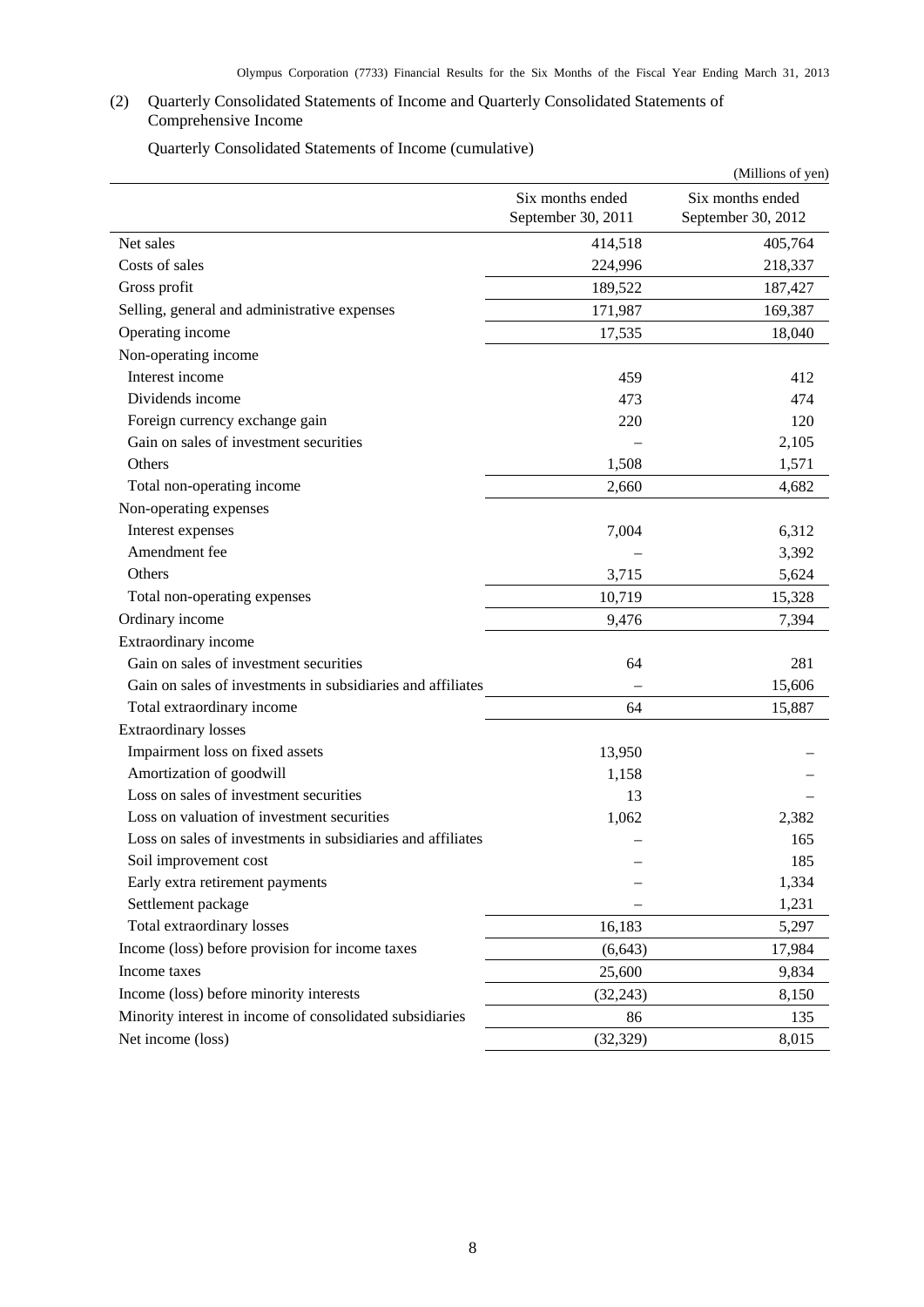## <span id="page-9-0"></span>(2) Quarterly Consolidated Statements of Income and Quarterly Consolidated Statements of Comprehensive Income

Quarterly Consolidated Statements of Income (cumulative)

<span id="page-9-1"></span>

|                                                             |                                        | (Millions of yen)                      |
|-------------------------------------------------------------|----------------------------------------|----------------------------------------|
|                                                             | Six months ended<br>September 30, 2011 | Six months ended<br>September 30, 2012 |
| Net sales                                                   | 414,518                                | 405,764                                |
| Costs of sales                                              | 224,996                                | 218,337                                |
| Gross profit                                                | 189,522                                | 187,427                                |
| Selling, general and administrative expenses                | 171,987                                | 169,387                                |
| Operating income                                            | 17,535                                 | 18,040                                 |
| Non-operating income                                        |                                        |                                        |
| Interest income                                             | 459                                    | 412                                    |
| Dividends income                                            | 473                                    | 474                                    |
| Foreign currency exchange gain                              | 220                                    | 120                                    |
| Gain on sales of investment securities                      |                                        | 2,105                                  |
| Others                                                      | 1,508                                  | 1,571                                  |
| Total non-operating income                                  | 2,660                                  | 4,682                                  |
| Non-operating expenses                                      |                                        |                                        |
| Interest expenses                                           | 7,004                                  | 6,312                                  |
| Amendment fee                                               |                                        | 3,392                                  |
| Others                                                      | 3,715                                  | 5,624                                  |
| Total non-operating expenses                                | 10,719                                 | 15,328                                 |
| Ordinary income                                             | 9,476                                  | 7,394                                  |
| Extraordinary income                                        |                                        |                                        |
| Gain on sales of investment securities                      | 64                                     | 281                                    |
| Gain on sales of investments in subsidiaries and affiliates |                                        | 15,606                                 |
| Total extraordinary income                                  | 64                                     | 15,887                                 |
| <b>Extraordinary losses</b>                                 |                                        |                                        |
| Impairment loss on fixed assets                             | 13,950                                 |                                        |
| Amortization of goodwill                                    | 1,158                                  |                                        |
| Loss on sales of investment securities                      | 13                                     |                                        |
| Loss on valuation of investment securities                  | 1,062                                  | 2,382                                  |
| Loss on sales of investments in subsidiaries and affiliates |                                        | 165                                    |
| Soil improvement cost                                       |                                        | 185                                    |
| Early extra retirement payments                             |                                        | 1,334                                  |
| Settlement package                                          |                                        | 1,231                                  |
| Total extraordinary losses                                  | 16,183                                 | 5,297                                  |
| Income (loss) before provision for income taxes             | (6, 643)                               | 17,984                                 |
| Income taxes                                                | 25,600                                 | 9,834                                  |
| Income (loss) before minority interests                     | (32, 243)                              | 8,150                                  |
| Minority interest in income of consolidated subsidiaries    | 86                                     | 135                                    |
| Net income (loss)                                           | (32, 329)                              | 8,015                                  |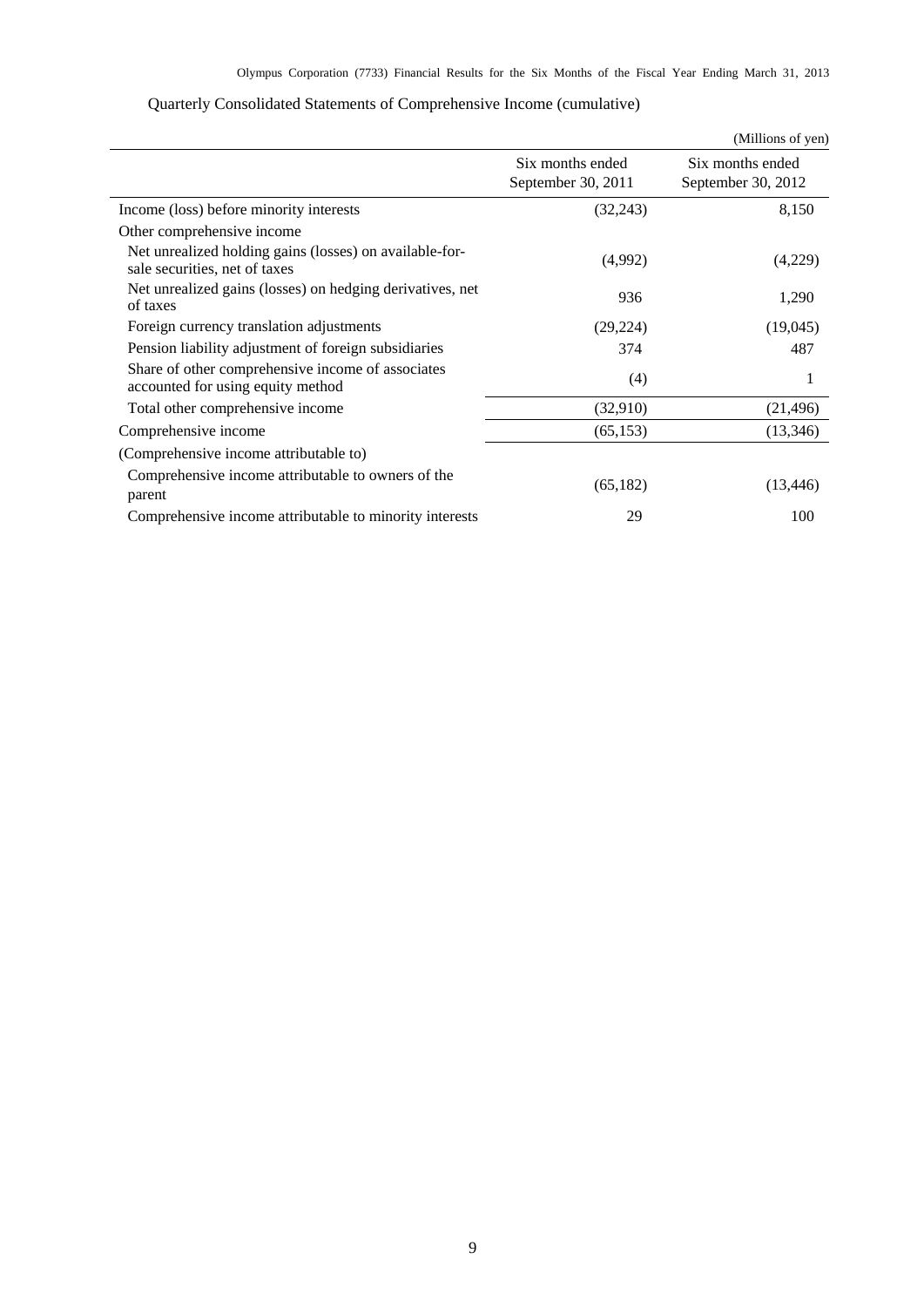<span id="page-10-0"></span>

|                                                                                          |                                        | (Millions of yen)                      |
|------------------------------------------------------------------------------------------|----------------------------------------|----------------------------------------|
|                                                                                          | Six months ended<br>September 30, 2011 | Six months ended<br>September 30, 2012 |
| Income (loss) before minority interests                                                  | (32,243)                               | 8,150                                  |
| Other comprehensive income                                                               |                                        |                                        |
| Net unrealized holding gains (losses) on available-for-<br>sale securities, net of taxes | (4,992)                                | (4,229)                                |
| Net unrealized gains (losses) on hedging derivatives, net<br>of taxes                    | 936                                    | 1,290                                  |
| Foreign currency translation adjustments                                                 | (29, 224)                              | (19,045)                               |
| Pension liability adjustment of foreign subsidiaries                                     | 374                                    | 487                                    |
| Share of other comprehensive income of associates<br>accounted for using equity method   | (4)                                    | 1                                      |
| Total other comprehensive income                                                         | (32,910)                               | (21, 496)                              |
| Comprehensive income                                                                     | (65, 153)                              | (13, 346)                              |
| (Comprehensive income attributable to)                                                   |                                        |                                        |
| Comprehensive income attributable to owners of the<br>parent                             | (65,182)                               | (13, 446)                              |
| Comprehensive income attributable to minority interests                                  | 29                                     | 100                                    |

# Quarterly Consolidated Statements of Comprehensive Income (cumulative)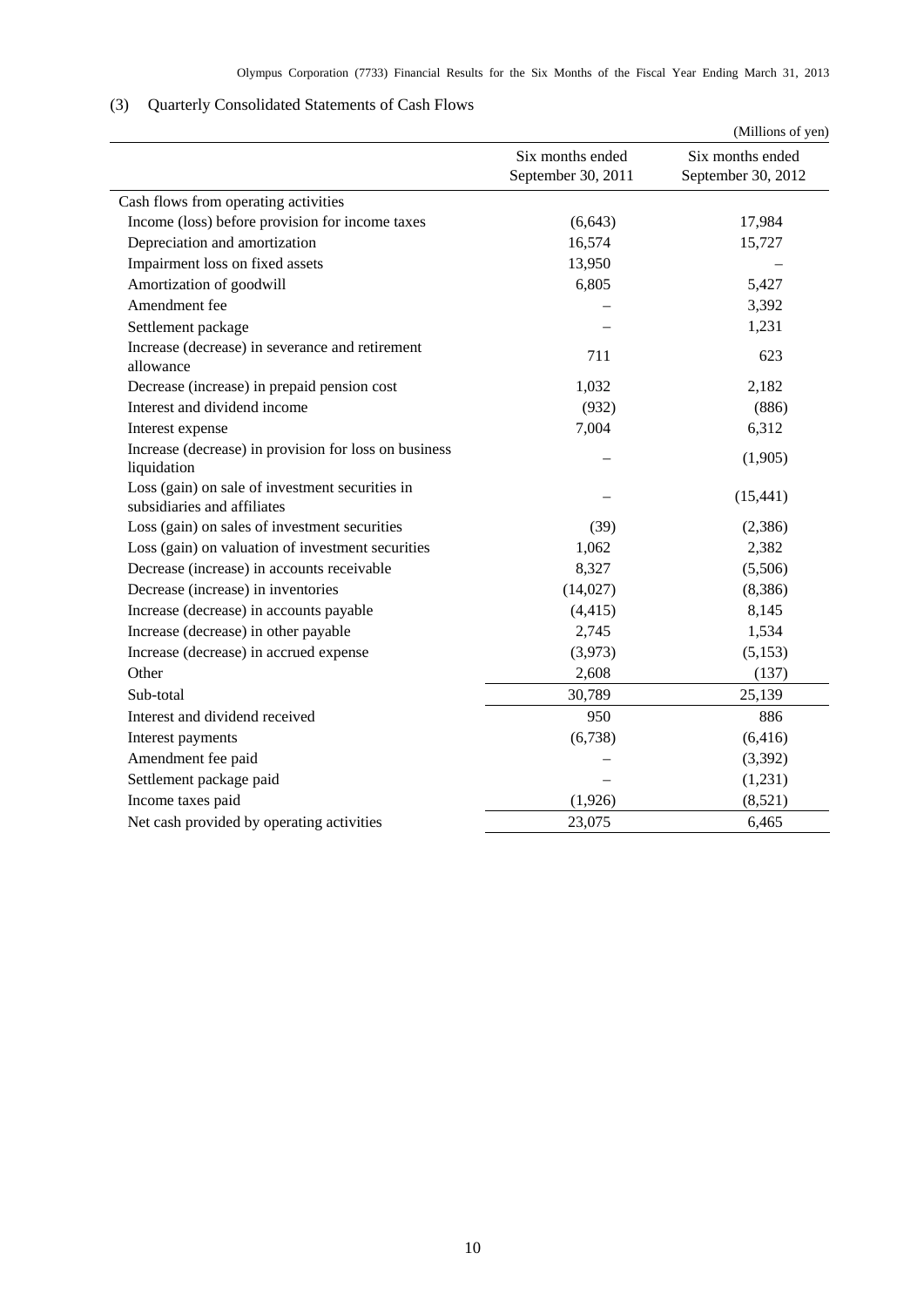# <span id="page-11-0"></span>(3) Quarterly Consolidated Statements of Cash Flows

|                                                                                |                                        | (Millions of yen)                      |
|--------------------------------------------------------------------------------|----------------------------------------|----------------------------------------|
|                                                                                | Six months ended<br>September 30, 2011 | Six months ended<br>September 30, 2012 |
| Cash flows from operating activities                                           |                                        |                                        |
| Income (loss) before provision for income taxes                                | (6, 643)                               | 17,984                                 |
| Depreciation and amortization                                                  | 16,574                                 | 15,727                                 |
| Impairment loss on fixed assets                                                | 13,950                                 |                                        |
| Amortization of goodwill                                                       | 6,805                                  | 5,427                                  |
| Amendment fee                                                                  |                                        | 3,392                                  |
| Settlement package                                                             |                                        | 1,231                                  |
| Increase (decrease) in severance and retirement<br>allowance                   | 711                                    | 623                                    |
| Decrease (increase) in prepaid pension cost                                    | 1,032                                  | 2,182                                  |
| Interest and dividend income                                                   | (932)                                  | (886)                                  |
| Interest expense                                                               | 7,004                                  | 6,312                                  |
| Increase (decrease) in provision for loss on business<br>liquidation           |                                        | (1,905)                                |
| Loss (gain) on sale of investment securities in<br>subsidiaries and affiliates |                                        | (15, 441)                              |
| Loss (gain) on sales of investment securities                                  | (39)                                   | (2,386)                                |
| Loss (gain) on valuation of investment securities                              | 1,062                                  | 2,382                                  |
| Decrease (increase) in accounts receivable                                     | 8,327                                  | (5,506)                                |
| Decrease (increase) in inventories                                             | (14,027)                               | (8,386)                                |
| Increase (decrease) in accounts payable                                        | (4, 415)                               | 8,145                                  |
| Increase (decrease) in other payable                                           | 2,745                                  | 1,534                                  |
| Increase (decrease) in accrued expense                                         | (3,973)                                | (5,153)                                |
| Other                                                                          | 2,608                                  | (137)                                  |
| Sub-total                                                                      | 30,789                                 | 25,139                                 |
| Interest and dividend received                                                 | 950                                    | 886                                    |
| Interest payments                                                              | (6,738)                                | (6, 416)                               |
| Amendment fee paid                                                             |                                        | (3, 392)                               |
| Settlement package paid                                                        |                                        | (1,231)                                |
| Income taxes paid                                                              | (1,926)                                | (8,521)                                |
| Net cash provided by operating activities                                      | 23,075                                 | 6,465                                  |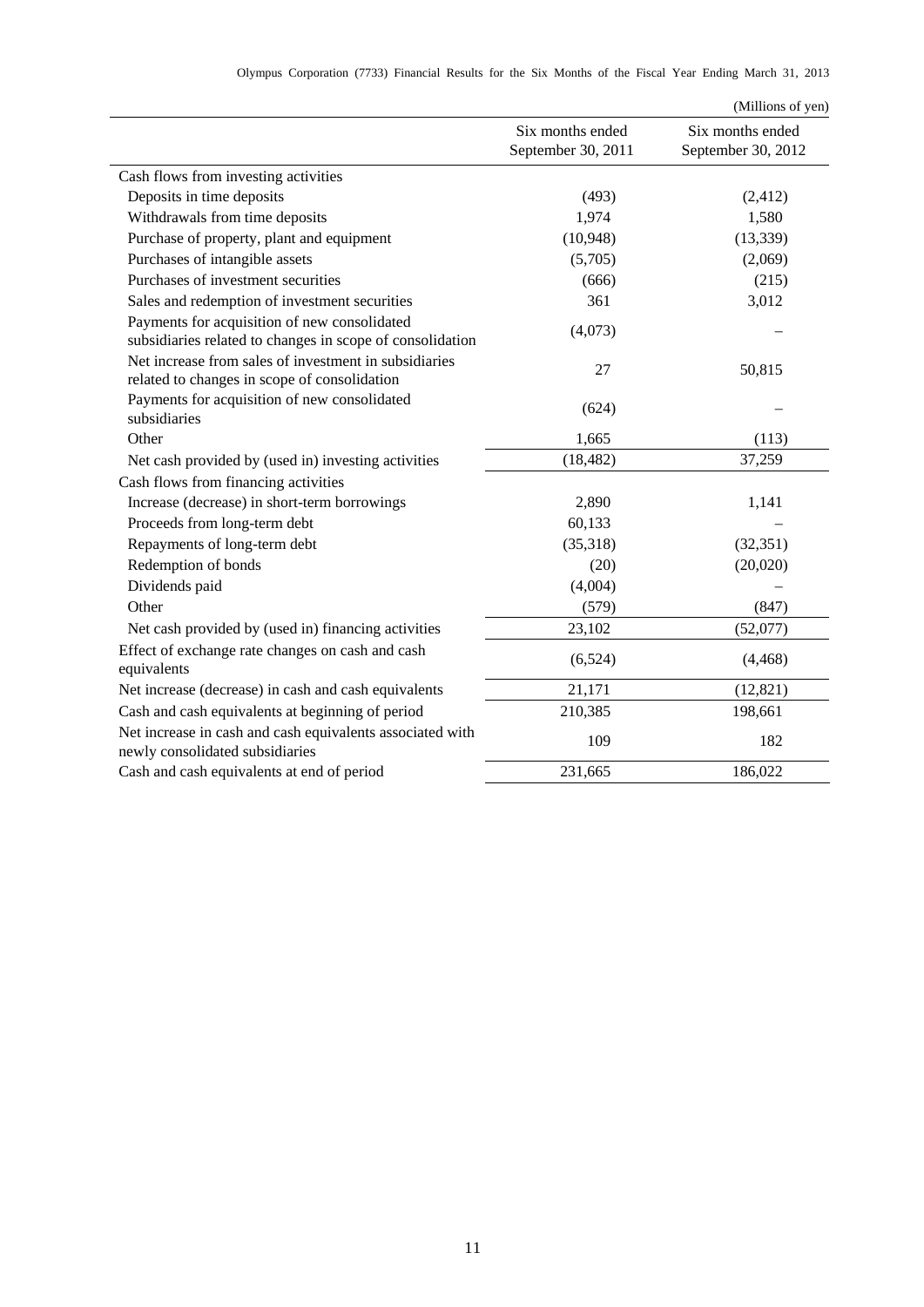|                                                                                                           |                                        | (Millions of yen)                      |
|-----------------------------------------------------------------------------------------------------------|----------------------------------------|----------------------------------------|
|                                                                                                           | Six months ended<br>September 30, 2011 | Six months ended<br>September 30, 2012 |
| Cash flows from investing activities                                                                      |                                        |                                        |
| Deposits in time deposits                                                                                 | (493)                                  | (2, 412)                               |
| Withdrawals from time deposits                                                                            | 1,974                                  | 1,580                                  |
| Purchase of property, plant and equipment                                                                 | (10, 948)                              | (13, 339)                              |
| Purchases of intangible assets                                                                            | (5,705)                                | (2,069)                                |
| Purchases of investment securities                                                                        | (666)                                  | (215)                                  |
| Sales and redemption of investment securities                                                             | 361                                    | 3,012                                  |
| Payments for acquisition of new consolidated<br>subsidiaries related to changes in scope of consolidation | (4,073)                                |                                        |
| Net increase from sales of investment in subsidiaries<br>related to changes in scope of consolidation     | 27                                     | 50,815                                 |
| Payments for acquisition of new consolidated<br>subsidiaries                                              | (624)                                  |                                        |
| Other                                                                                                     | 1,665                                  | (113)                                  |
| Net cash provided by (used in) investing activities                                                       | (18, 482)                              | 37,259                                 |
| Cash flows from financing activities                                                                      |                                        |                                        |
| Increase (decrease) in short-term borrowings                                                              | 2,890                                  | 1,141                                  |
| Proceeds from long-term debt                                                                              | 60,133                                 |                                        |
| Repayments of long-term debt                                                                              | (35,318)                               | (32, 351)                              |
| Redemption of bonds                                                                                       | (20)                                   | (20,020)                               |
| Dividends paid                                                                                            | (4,004)                                |                                        |
| Other                                                                                                     | (579)                                  | (847)                                  |
| Net cash provided by (used in) financing activities                                                       | 23,102                                 | (52,077)                               |
| Effect of exchange rate changes on cash and cash<br>equivalents                                           | (6,524)                                | (4, 468)                               |
| Net increase (decrease) in cash and cash equivalents                                                      | 21,171                                 | (12, 821)                              |
| Cash and cash equivalents at beginning of period                                                          | 210,385                                | 198,661                                |
| Net increase in cash and cash equivalents associated with<br>newly consolidated subsidiaries              | 109                                    | 182                                    |
| Cash and cash equivalents at end of period                                                                | 231,665                                | 186,022                                |
|                                                                                                           |                                        |                                        |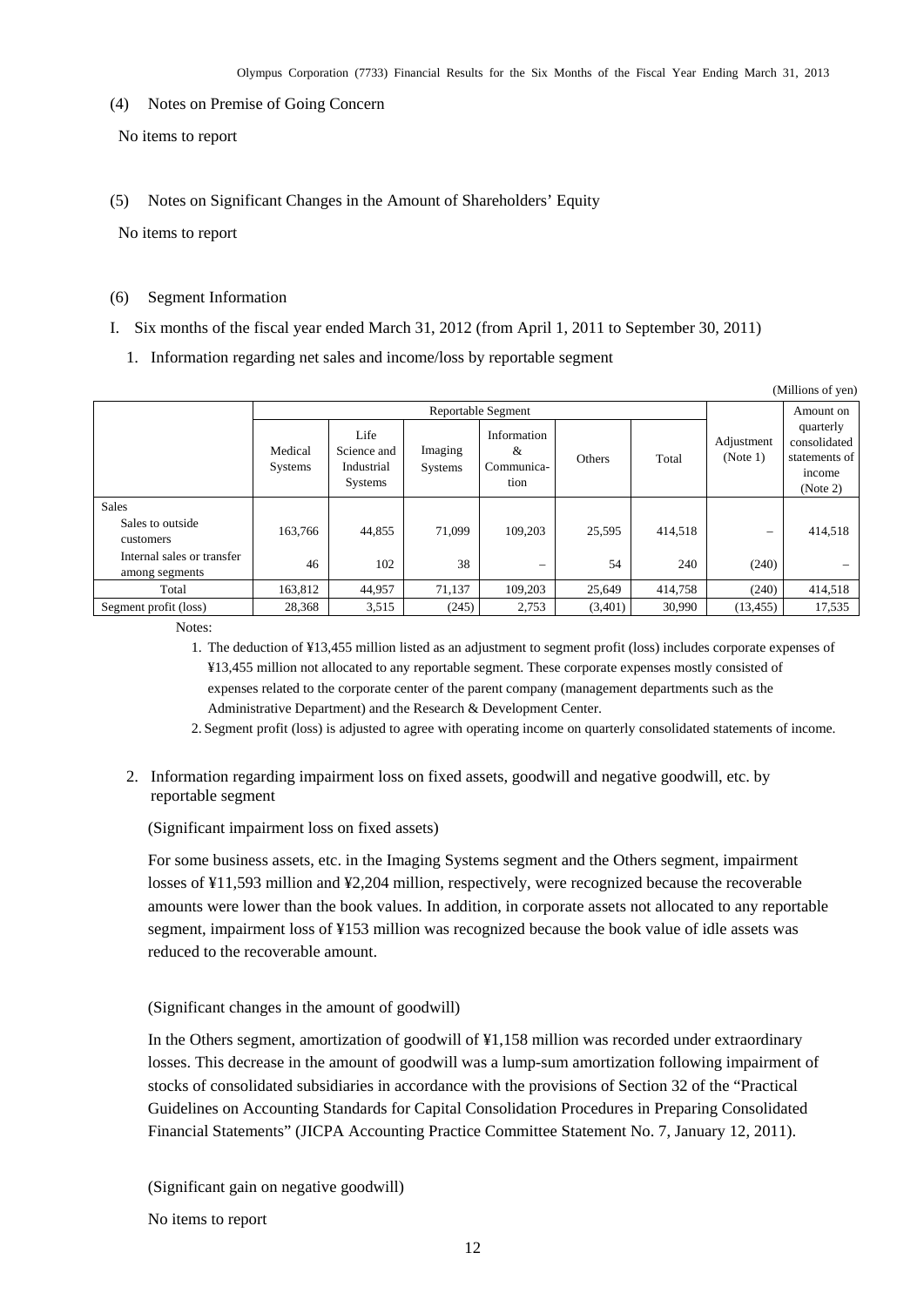<span id="page-13-0"></span>(4) Notes on Premise of Going Concern

No items to report

<span id="page-13-1"></span>(5) Notes on Significant Changes in the Amount of Shareholders' Equity

No items to report

#### <span id="page-13-2"></span>(6) Segment Information

- I. Six months of the fiscal year ended March 31, 2012 (from April 1, 2011 to September 30, 2011)
	- 1. Information regarding net sales and income/loss by reportable segment

| (Millions of yen)                            |                           |                                              |                           |                                        |         |           |                        |                                                                  |
|----------------------------------------------|---------------------------|----------------------------------------------|---------------------------|----------------------------------------|---------|-----------|------------------------|------------------------------------------------------------------|
|                                              | Reportable Segment        |                                              |                           |                                        |         | Amount on |                        |                                                                  |
|                                              | Medical<br><b>Systems</b> | Life<br>Science and<br>Industrial<br>Systems | Imaging<br><b>Systems</b> | Information<br>&<br>Communica-<br>tion | Others  | Total     | Adjustment<br>(Note 1) | quarterly<br>consolidated<br>statements of<br>income<br>(Note 2) |
| <b>Sales</b>                                 |                           |                                              |                           |                                        |         |           |                        |                                                                  |
| Sales to outside<br>customers                | 163.766                   | 44,855                                       | 71.099                    | 109.203                                | 25,595  | 414.518   | -                      | 414,518                                                          |
| Internal sales or transfer<br>among segments | 46                        | 102                                          | 38                        | $\overline{\phantom{0}}$               | 54      | 240       | (240)                  |                                                                  |
| Total                                        | 163,812                   | 44,957                                       | 71,137                    | 109,203                                | 25,649  | 414,758   | (240)                  | 414,518                                                          |
| Segment profit (loss)                        | 28,368                    | 3,515                                        | (245)                     | 2,753                                  | (3,401) | 30,990    | (13, 455)              | 17,535                                                           |

Notes:

1. The deduction of ¥13,455 million listed as an adjustment to segment profit (loss) includes corporate expenses of ¥13,455 million not allocated to any reportable segment. These corporate expenses mostly consisted of expenses related to the corporate center of the parent company (management departments such as the Administrative Department) and the Research & Development Center.

- 2. Segment profit (loss) is adjusted to agree with operating income on quarterly consolidated statements of income.
- 2. Information regarding impairment loss on fixed assets, goodwill and negative goodwill, etc. by reportable segment

(Significant impairment loss on fixed assets)

For some business assets, etc. in the Imaging Systems segment and the Others segment, impairment losses of ¥11,593 million and ¥2,204 million, respectively, were recognized because the recoverable amounts were lower than the book values. In addition, in corporate assets not allocated to any reportable segment, impairment loss of ¥153 million was recognized because the book value of idle assets was reduced to the recoverable amount.

(Significant changes in the amount of goodwill)

In the Others segment, amortization of goodwill of ¥1,158 million was recorded under extraordinary losses. This decrease in the amount of goodwill was a lump-sum amortization following impairment of stocks of consolidated subsidiaries in accordance with the provisions of Section 32 of the "Practical Guidelines on Accounting Standards for Capital Consolidation Procedures in Preparing Consolidated Financial Statements" (JICPA Accounting Practice Committee Statement No. 7, January 12, 2011).

(Significant gain on negative goodwill)

No items to report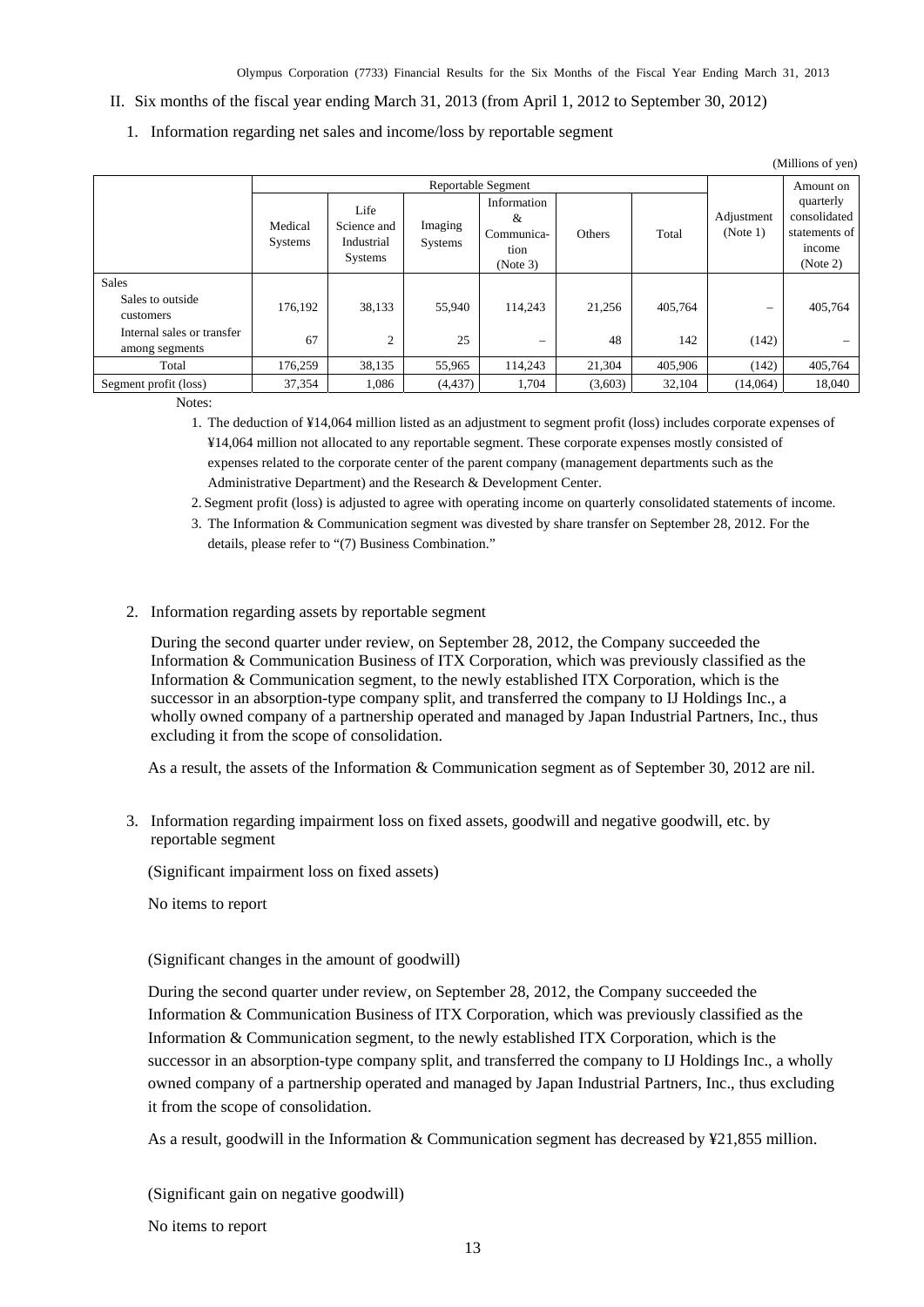- II. Six months of the fiscal year ending March 31, 2013 (from April 1, 2012 to September 30, 2012)
	- 1. Information regarding net sales and income/loss by reportable segment

| (Millions of yen)                            |                           |                                                     |                    |                                                    |         |           |                          |                                                                  |
|----------------------------------------------|---------------------------|-----------------------------------------------------|--------------------|----------------------------------------------------|---------|-----------|--------------------------|------------------------------------------------------------------|
|                                              | Reportable Segment        |                                                     |                    |                                                    |         | Amount on |                          |                                                                  |
|                                              | Medical<br><b>Systems</b> | Life<br>Science and<br>Industrial<br><b>Systems</b> | Imaging<br>Systems | Information<br>&<br>Communica-<br>tion<br>(Note 3) | Others  | Total     | Adjustment<br>(Note 1)   | quarterly<br>consolidated<br>statements of<br>income<br>(Note 2) |
| <b>Sales</b>                                 |                           |                                                     |                    |                                                    |         |           |                          |                                                                  |
| Sales to outside<br>customers                | 176.192                   | 38,133                                              | 55,940             | 114.243                                            | 21.256  | 405.764   | $\overline{\phantom{0}}$ | 405,764                                                          |
| Internal sales or transfer<br>among segments | 67                        | $\overline{c}$                                      | 25                 |                                                    | 48      | 142       | (142)                    |                                                                  |
| Total                                        | 176,259                   | 38,135                                              | 55,965             | 114.243                                            | 21,304  | 405,906   | (142)                    | 405,764                                                          |
| Segment profit (loss)                        | 37,354                    | 1,086                                               | (4, 437)           | 1,704                                              | (3,603) | 32,104    | (14,064)                 | 18,040                                                           |

Notes:

1. The deduction of ¥14,064 million listed as an adjustment to segment profit (loss) includes corporate expenses of ¥14,064 million not allocated to any reportable segment. These corporate expenses mostly consisted of expenses related to the corporate center of the parent company (management departments such as the Administrative Department) and the Research & Development Center.

2. Segment profit (loss) is adjusted to agree with operating income on quarterly consolidated statements of income.

- 3. The Information & Communication segment was divested by share transfer on September 28, 2012. For the details, please refer to "(7) Business Combination."
- 2. Information regarding assets by reportable segment

 During the second quarter under review, on September 28, 2012, the Company succeeded the Information & Communication Business of ITX Corporation, which was previously classified as the Information & Communication segment, to the newly established ITX Corporation, which is the successor in an absorption-type company split, and transferred the company to IJ Holdings Inc., a wholly owned company of a partnership operated and managed by Japan Industrial Partners, Inc., thus excluding it from the scope of consolidation.

As a result, the assets of the Information & Communication segment as of September 30, 2012 are nil.

3. Information regarding impairment loss on fixed assets, goodwill and negative goodwill, etc. by reportable segment

(Significant impairment loss on fixed assets)

No items to report

(Significant changes in the amount of goodwill)

During the second quarter under review, on September 28, 2012, the Company succeeded the Information & Communication Business of ITX Corporation, which was previously classified as the Information & Communication segment, to the newly established ITX Corporation, which is the successor in an absorption-type company split, and transferred the company to IJ Holdings Inc., a wholly owned company of a partnership operated and managed by Japan Industrial Partners, Inc., thus excluding it from the scope of consolidation.

As a result, goodwill in the Information & Communication segment has decreased by ¥21,855 million.

(Significant gain on negative goodwill)

No items to report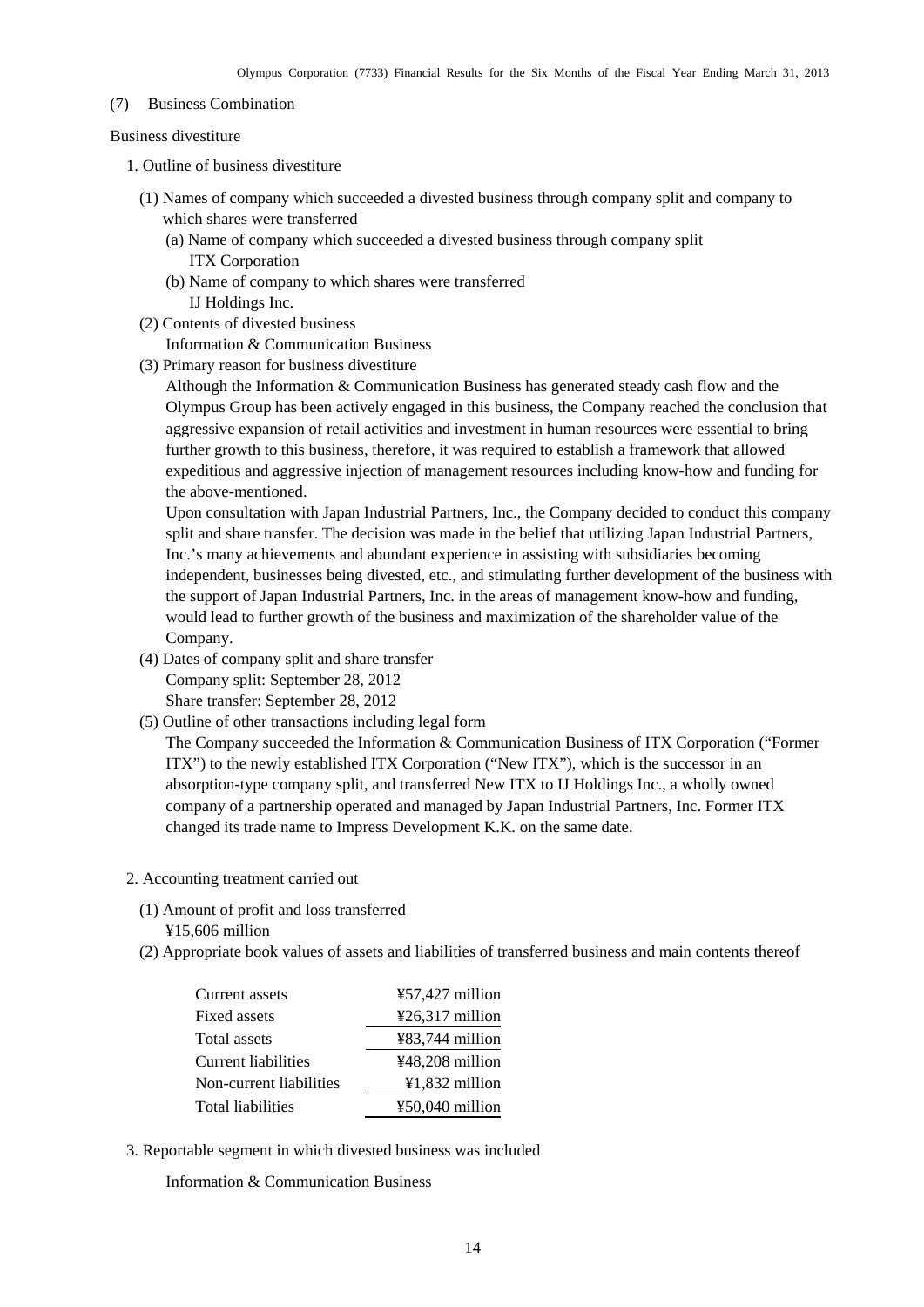#### <span id="page-15-0"></span>(7) Business Combination

Business divestiture

- 1. Outline of business divestiture
	- (1) Names of company which succeeded a divested business through company split and company to which shares were transferred
		- (a) Name of company which succeeded a divested business through company split ITX Corporation
		- (b) Name of company to which shares were transferred IJ Holdings Inc.
	- (2) Contents of divested business

Information & Communication Business

(3) Primary reason for business divestiture

Although the Information & Communication Business has generated steady cash flow and the Olympus Group has been actively engaged in this business, the Company reached the conclusion that aggressive expansion of retail activities and investment in human resources were essential to bring further growth to this business, therefore, it was required to establish a framework that allowed expeditious and aggressive injection of management resources including know-how and funding for the above-mentioned.

Upon consultation with Japan Industrial Partners, Inc., the Company decided to conduct this company split and share transfer. The decision was made in the belief that utilizing Japan Industrial Partners, Inc.'s many achievements and abundant experience in assisting with subsidiaries becoming independent, businesses being divested, etc., and stimulating further development of the business with the support of Japan Industrial Partners, Inc. in the areas of management know-how and funding, would lead to further growth of the business and maximization of the shareholder value of the Company.

(4) Dates of company split and share transfer

Company split: September 28, 2012

Share transfer: September 28, 2012

(5) Outline of other transactions including legal form

The Company succeeded the Information & Communication Business of ITX Corporation ("Former ITX") to the newly established ITX Corporation ("New ITX"), which is the successor in an absorption-type company split, and transferred New ITX to IJ Holdings Inc., a wholly owned company of a partnership operated and managed by Japan Industrial Partners, Inc. Former ITX changed its trade name to Impress Development K.K. on the same date.

- 2. Accounting treatment carried out
	- (1) Amount of profit and loss transferred ¥15,606 million
	- (2) Appropriate book values of assets and liabilities of transferred business and main contents thereof

| Current assets          | $457,427$ million         |
|-------------------------|---------------------------|
| Fixed assets            | ¥26,317 million           |
| Total assets            | $\text{\#83,744}$ million |
| Current liabilities     | $448,208$ million         |
| Non-current liabilities | $¥1,832$ million          |
| Total liabilities       | $\text{\#}50,040$ million |

3. Reportable segment in which divested business was included

Information & Communication Business